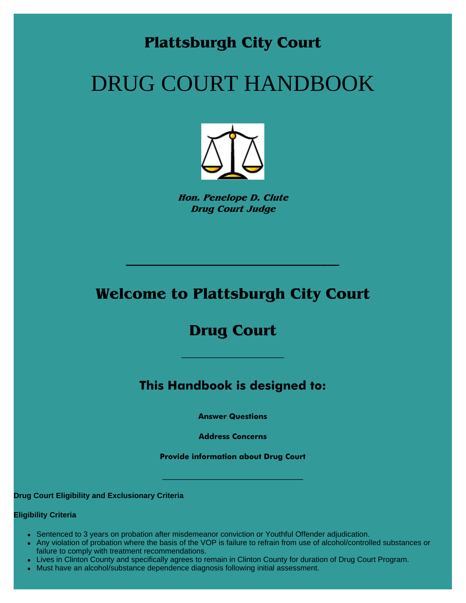### **Plattsburgh City Court**

# DRUG COURT HANDBOOK



**Hon. Penelope D. Clute Drug Court Judge**

### **Welcome to Plattsburgh City Court**

**\_\_\_\_\_\_\_\_\_\_\_\_\_\_\_\_\_\_\_\_\_\_\_\_\_\_\_\_** 

### **Drug Court**

**\_\_\_\_\_\_\_\_\_\_\_\_\_\_\_\_\_\_\_\_\_\_\_\_\_\_\_**

**This Handbook is designed to:**

**Answer Questions**

**Address Concerns**

**Provide information about Drug Court**

**\_\_\_\_\_\_\_\_\_\_\_\_\_\_\_\_\_\_\_\_\_\_\_\_\_\_\_\_\_\_\_\_\_\_\_\_\_**

**Drug Court Eligibility and Exclusionary Criteria** 

#### **Eligibility Criteria**

- Sentenced to 3 years on probation after misdemeanor conviction or Youthful Offender adjudication.
- Any violation of probation where the basis of the VOP is failure to refrain from use of alcohol/controlled substances or failure to comply with treatment recommendations.
- Lives in Clinton County and specifically agrees to remain in Clinton County for duration of Drug Court Program.
- Must have an alcohol/substance dependence diagnosis following initial assessment.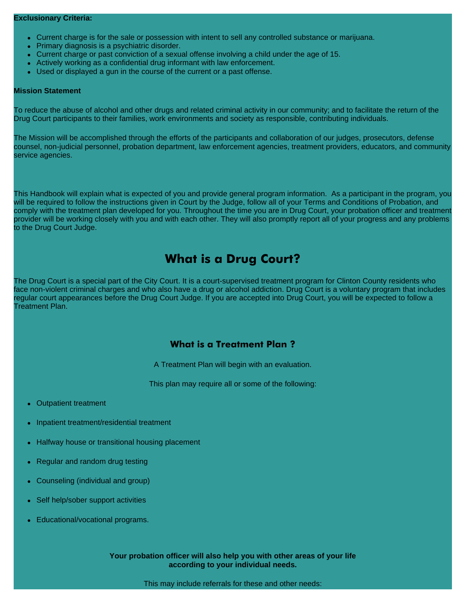- Current charge is for the sale or possession with intent to sell any controlled substance or marijuana.
- Primary diagnosis is a psychiatric disorder.
- Current charge or past conviction of a sexual offense involving a child under the age of 15.
- Actively working as a confidential drug informant with law enforcement.
- Used or displayed a gun in the course of the current or a past offense.

#### **Mission Statement**

To reduce the abuse of alcohol and other drugs and related criminal activity in our community; and to facilitate the return of the Drug Court participants to their families, work environments and society as responsible, contributing individuals.

The Mission will be accomplished through the efforts of the participants and collaboration of our judges, prosecutors, defense counsel, non-judicial personnel, probation department, law enforcement agencies, treatment providers, educators, and community service agencies.

This Handbook will explain what is expected of you and provide general program information. As a participant in the program, you will be required to follow the instructions given in Court by the Judge, follow all of your Terms and Conditions of Probation, and comply with the treatment plan developed for you. Throughout the time you are in Drug Court, your probation officer and treatment provider will be working closely with you and with each other. They will also promptly report all of your progress and any problems to the Drug Court Judge.

### **What is a Drug Court?**

The Drug Court is a special part of the City Court. It is a court-supervised treatment program for Clinton County residents who face non-violent criminal charges and who also have a drug or alcohol addiction. Drug Court is a voluntary program that includes regular court appearances before the Drug Court Judge. If you are accepted into Drug Court, you will be expected to follow a Treatment Plan.

### **What is a Treatment Plan ?**

A Treatment Plan will begin with an evaluation.

This plan may require all or some of the following:

- **Outpatient treatment**
- Inpatient treatment/residential treatment
- Halfway house or transitional housing placement
- Regular and random drug testing
- Counseling (individual and group)
- Self help/sober support activities
- Educational/vocational programs.

**Your probation officer will also help you with other areas of your life according to your individual needs.**

This may include referrals for these and other needs: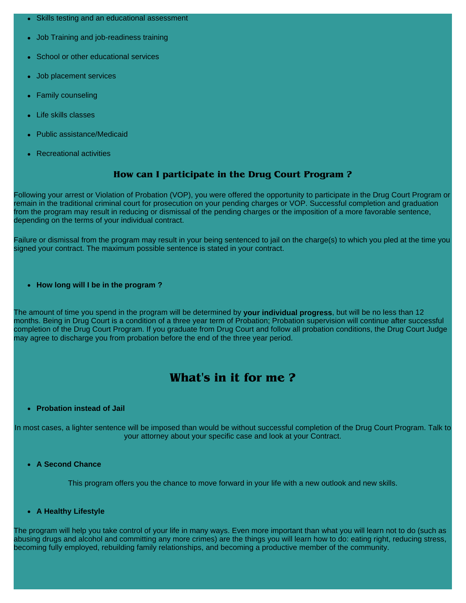- **Skills testing and an educational assessment**
- Job Training and job-readiness training
- School or other educational services
- Job placement services
- **Family counseling**
- Life skills classes
- **Public assistance/Medicaid**
- **Recreational activities**

#### **How can I participate in the Drug Court Program ?**

Following your arrest or Violation of Probation (VOP), you were offered the opportunity to participate in the Drug Court Program or remain in the traditional criminal court for prosecution on your pending charges or VOP. Successful completion and graduation from the program may result in reducing or dismissal of the pending charges or the imposition of a more favorable sentence, depending on the terms of your individual contract.

Failure or dismissal from the program may result in your being sentenced to jail on the charge(s) to which you pled at the time you signed your contract. The maximum possible sentence is stated in your contract.

**• How long will I be in the program?** 

The amount of time you spend in the program will be determined by **your individual progress**, but will be no less than 12 months. Being in Drug Court is a condition of a three year term of Probation; Probation supervision will continue after successful completion of the Drug Court Program. If you graduate from Drug Court and follow all probation conditions, the Drug Court Judge may agree to discharge you from probation before the end of the three year period.

### **What's in it for me ?**

#### <sup>z</sup> **Probation instead of Jail**

In most cases, a lighter sentence will be imposed than would be without successful completion of the Drug Court Program. Talk to your attorney about your specific case and look at your Contract.

<sup>z</sup> **A Second Chance**

This program offers you the chance to move forward in your life with a new outlook and new skills.

<sup>z</sup> **A Healthy Lifestyle**

The program will help you take control of your life in many ways. Even more important than what you will learn not to do (such as abusing drugs and alcohol and committing any more crimes) are the things you will learn how to do: eating right, reducing stress, becoming fully employed, rebuilding family relationships, and becoming a productive member of the community.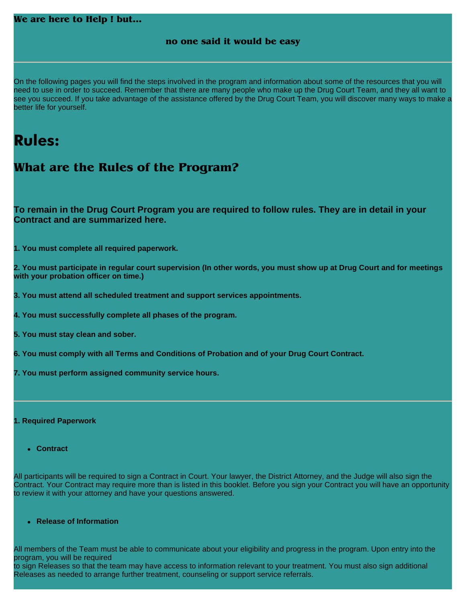| We are here to Help! but                                                                                                                                                                                                                                                                                                                                                                                                      |
|-------------------------------------------------------------------------------------------------------------------------------------------------------------------------------------------------------------------------------------------------------------------------------------------------------------------------------------------------------------------------------------------------------------------------------|
| no one said it would be easy                                                                                                                                                                                                                                                                                                                                                                                                  |
|                                                                                                                                                                                                                                                                                                                                                                                                                               |
|                                                                                                                                                                                                                                                                                                                                                                                                                               |
| On the following pages you will find the steps involved in the program and information about some of the resources that you will<br>need to use in order to succeed. Remember that there are many people who make up the Drug Court Team, and they all want to<br>see you succeed. If you take advantage of the assistance offered by the Drug Court Team, you will discover many ways to make a<br>better life for yourself. |
|                                                                                                                                                                                                                                                                                                                                                                                                                               |
| <b>Rules:</b>                                                                                                                                                                                                                                                                                                                                                                                                                 |
| What are the Rules of the Program?                                                                                                                                                                                                                                                                                                                                                                                            |
|                                                                                                                                                                                                                                                                                                                                                                                                                               |
|                                                                                                                                                                                                                                                                                                                                                                                                                               |
| To remain in the Drug Court Program you are required to follow rules. They are in detail in your<br><b>Contract and are summarized here.</b>                                                                                                                                                                                                                                                                                  |
| 1. You must complete all required paperwork.                                                                                                                                                                                                                                                                                                                                                                                  |
| 2. You must participate in regular court supervision (In other words, you must show up at Drug Court and for meetings<br>with your probation officer on time.)                                                                                                                                                                                                                                                                |
| 3. You must attend all scheduled treatment and support services appointments.                                                                                                                                                                                                                                                                                                                                                 |
| 4. You must successfully complete all phases of the program.                                                                                                                                                                                                                                                                                                                                                                  |
| 5. You must stay clean and sober.                                                                                                                                                                                                                                                                                                                                                                                             |
| 6. You must comply with all Terms and Conditions of Probation and of your Drug Court Contract.                                                                                                                                                                                                                                                                                                                                |
| 7. You must perform assigned community service hours.                                                                                                                                                                                                                                                                                                                                                                         |
|                                                                                                                                                                                                                                                                                                                                                                                                                               |
| 1. Required Paperwork                                                                                                                                                                                                                                                                                                                                                                                                         |
|                                                                                                                                                                                                                                                                                                                                                                                                                               |
| • Contract                                                                                                                                                                                                                                                                                                                                                                                                                    |
| All participants will be required to sign a Contract in Court. Your lawyer, the District Attorney, and the Judge will also sign the<br>Contract. Your Contract may require more than is listed in this booklet. Before you sign your Contract you will have an opportunity<br>to review it with your attorney and have your questions answered.                                                                               |
| • Release of Information                                                                                                                                                                                                                                                                                                                                                                                                      |
| All members of the Team must be able to communicate about your eligibility and progress in the program. Upon entry into the                                                                                                                                                                                                                                                                                                   |

program, you will be required to sign Releases so that the team may have access to information relevant to your treatment. You must also sign additional Releases as needed to arrange further treatment, counseling or support service referrals.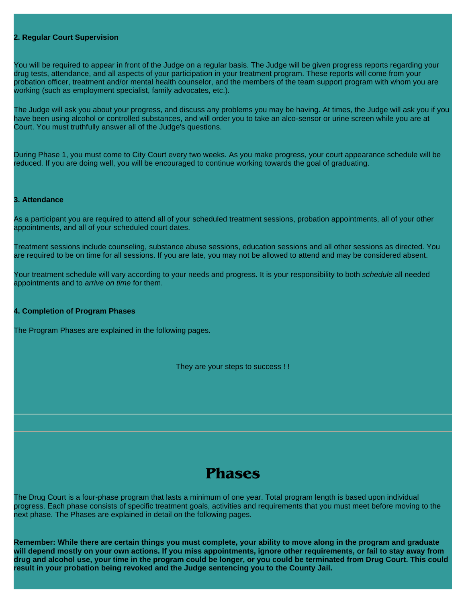#### **2. Regular Court Supervision**

You will be required to appear in front of the Judge on a regular basis. The Judge will be given progress reports regarding your drug tests, attendance, and all aspects of your participation in your treatment program. These reports will come from your probation officer, treatment and/or mental health counselor, and the members of the team support program with whom you are working (such as employment specialist, family advocates, etc.).

The Judge will ask you about your progress, and discuss any problems you may be having. At times, the Judge will ask you if you have been using alcohol or controlled substances, and will order you to take an alco-sensor or urine screen while you are at Court. You must truthfully answer all of the Judge's questions.

During Phase 1, you must come to City Court every two weeks. As you make progress, your court appearance schedule will be reduced. If you are doing well, you will be encouraged to continue working towards the goal of graduating.

#### **3. Attendance**

As a participant you are required to attend all of your scheduled treatment sessions, probation appointments, all of your other appointments, and all of your scheduled court dates.

Treatment sessions include counseling, substance abuse sessions, education sessions and all other sessions as directed. You are required to be on time for all sessions. If you are late, you may not be allowed to attend and may be considered absent.

Your treatment schedule will vary according to your needs and progress. It is your responsibility to both *schedule* all needed appointments and to *arrive on time* for them.

#### **4. Completion of Program Phases**

The Program Phases are explained in the following pages.

They are your steps to success ! !

### **Phases**

The Drug Court is a four-phase program that lasts a minimum of one year. Total program length is based upon individual progress. Each phase consists of specific treatment goals, activities and requirements that you must meet before moving to the next phase. The Phases are explained in detail on the following pages.

**Remember: While there are certain things you must complete, your ability to move along in the program and graduate will depend mostly on your own actions. If you miss appointments, ignore other requirements, or fail to stay away from drug and alcohol use, your time in the program could be longer, or you could be terminated from Drug Court. This could result in your probation being revoked and the Judge sentencing you to the County Jail.**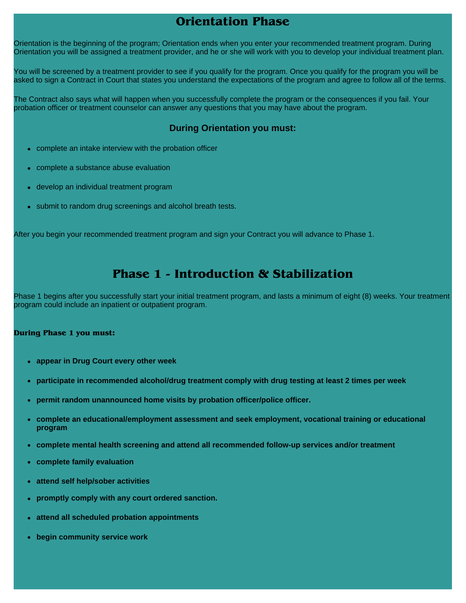### **Orientation Phase**

Orientation is the beginning of the program; Orientation ends when you enter your recommended treatment program. During Orientation you will be assigned a treatment provider, and he or she will work with you to develop your individual treatment plan.

You will be screened by a treatment provider to see if you qualify for the program. Once you qualify for the program you will be asked to sign a Contract in Court that states you understand the expectations of the program and agree to follow all of the terms.

The Contract also says what will happen when you successfully complete the program or the consequences if you fail. Your probation officer or treatment counselor can answer any questions that you may have about the program.

### **During Orientation you must:**

- complete an intake interview with the probation officer
- complete a substance abuse evaluation
- develop an individual treatment program
- submit to random drug screenings and alcohol breath tests.

After you begin your recommended treatment program and sign your Contract you will advance to Phase 1.

### **Phase 1 - Introduction & Stabilization**

Phase 1 begins after you successfully start your initial treatment program, and lasts a minimum of eight (8) weeks. Your treatment program could include an inpatient or outpatient program.

#### **During Phase 1 you must:**

- **appear in Drug Court every other week**
- **participate in recommended alcohol/drug treatment comply with drug testing at least 2 times per week**
- **permit random unannounced home visits by probation officer/police officer.**
- **complete an educational/employment assessment and seek employment, vocational training or educational program**
- **complete mental health screening and attend all recommended follow-up services and/or treatment**
- <sup>z</sup> **complete family evaluation**
- <sup>z</sup> **attend self help/sober activities**
- **promptly comply with any court ordered sanction.**
- **attend all scheduled probation appointments**
- **begin community service work**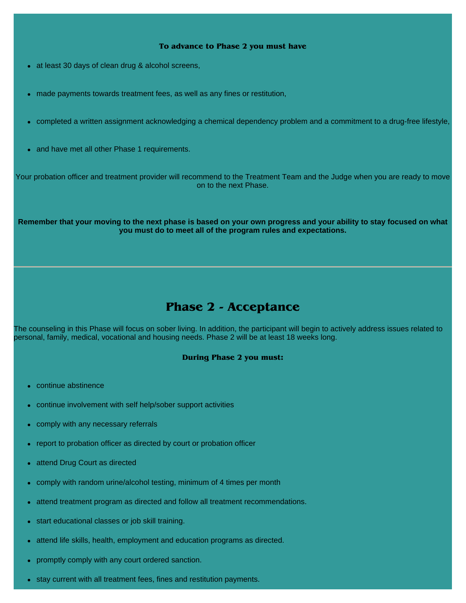#### **To advance to Phase 2 you must have**

- at least 30 days of clean drug & alcohol screens,
- made payments towards treatment fees, as well as any fines or restitution,
- <sup>z</sup> completed a written assignment acknowledging a chemical dependency problem and a commitment to a drug-free lifestyle,
- and have met all other Phase 1 requirements.

Your probation officer and treatment provider will recommend to the Treatment Team and the Judge when you are ready to move on to the next Phase.

**Remember that your moving to the next phase is based on your own progress and your ability to stay focused on what you must do to meet all of the program rules and expectations.**

### **Phase 2 - Acceptance**

The counseling in this Phase will focus on sober living. In addition, the participant will begin to actively address issues related to personal, family, medical, vocational and housing needs. Phase 2 will be at least 18 weeks long.

#### **During Phase 2 you must:**

- continue abstinence
- continue involvement with self help/sober support activities
- comply with any necessary referrals
- report to probation officer as directed by court or probation officer
- attend Drug Court as directed
- comply with random urine/alcohol testing, minimum of 4 times per month
- attend treatment program as directed and follow all treatment recommendations.
- start educational classes or job skill training.
- attend life skills, health, employment and education programs as directed.
- promptly comply with any court ordered sanction.
- stay current with all treatment fees, fines and restitution payments.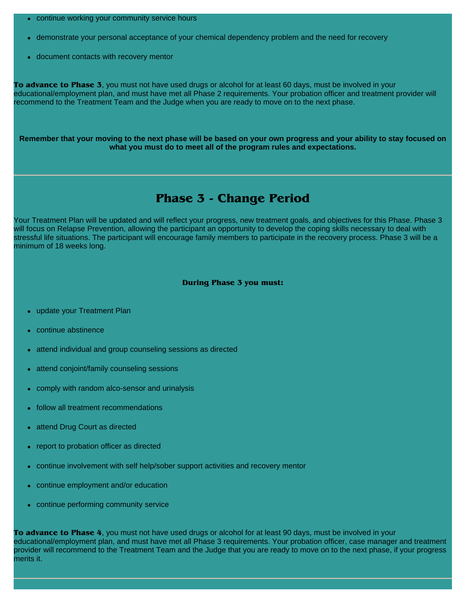- continue working your community service hours
- demonstrate your personal acceptance of your chemical dependency problem and the need for recovery
- document contacts with recovery mentor

**To advance to Phase 3**, you must not have used drugs or alcohol for at least 60 days, must be involved in your educational/employment plan, and must have met all Phase 2 requirements. Your probation officer and treatment provider will recommend to the Treatment Team and the Judge when you are ready to move on to the next phase.

**Remember that your moving to the next phase will be based on your own progress and your ability to stay focused on what you must do to meet all of the program rules and expectations.**

### **Phase 3 - Change Period**

Your Treatment Plan will be updated and will reflect your progress, new treatment goals, and objectives for this Phase. Phase 3 will focus on Relapse Prevention, allowing the participant an opportunity to develop the coping skills necessary to deal with stressful life situations. The participant will encourage family members to participate in the recovery process. Phase 3 will be a minimum of 18 weeks long.

#### **During Phase 3 you must:**

- update your Treatment Plan
- continue abstinence
- attend individual and group counseling sessions as directed
- attend conjoint/family counseling sessions
- comply with random alco-sensor and urinalysis
- follow all treatment recommendations
- attend Drug Court as directed
- report to probation officer as directed
- <sup>z</sup> continue involvement with self help/sober support activities and recovery mentor
- continue employment and/or education
- continue performing community service

**To advance to Phase 4**, you must not have used drugs or alcohol for at least 90 days, must be involved in your educational/employment plan, and must have met all Phase 3 requirements. Your probation officer, case manager and treatment provider will recommend to the Treatment Team and the Judge that you are ready to move on to the next phase, if your progress merits it.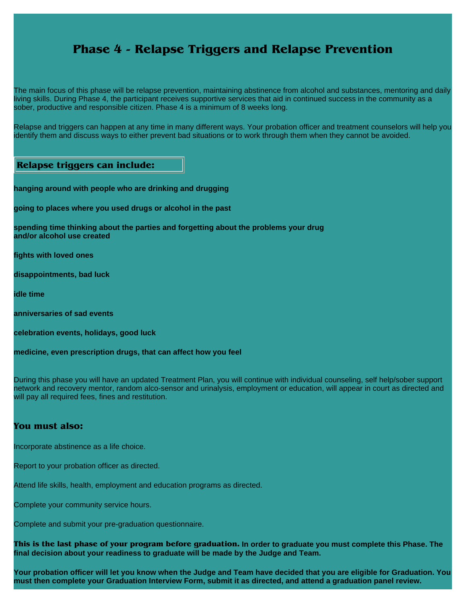### **Phase 4 - Relapse Triggers and Relapse Prevention**

The main focus of this phase will be relapse prevention, maintaining abstinence from alcohol and substances, mentoring and daily living skills. During Phase 4, the participant receives supportive services that aid in continued success in the community as a sober, productive and responsible citizen. Phase 4 is a minimum of 8 weeks long.

Relapse and triggers can happen at any time in many different ways. Your probation officer and treatment counselors will help you identify them and discuss ways to either prevent bad situations or to work through them when they cannot be avoided.

### **Relapse triggers can include:**

**hanging around with people who are drinking and drugging**

**going to places where you used drugs or alcohol in the past**

**spending time thinking about the parties and forgetting about the problems your drug and/or alcohol use created**

**fights with loved ones**

**disappointments, bad luck**

**idle time**

**anniversaries of sad events**

**celebration events, holidays, good luck**

**medicine, even prescription drugs, that can affect how you feel**

During this phase you will have an updated Treatment Plan, you will continue with individual counseling, self help/sober support network and recovery mentor, random alco-sensor and urinalysis, employment or education, will appear in court as directed and will pay all required fees, fines and restitution.

#### **You must also:**

Incorporate abstinence as a life choice.

Report to your probation officer as directed.

Attend life skills, health, employment and education programs as directed.

Complete your community service hours.

Complete and submit your pre-graduation questionnaire.

**This is the last phase of your program before graduation. In order to graduate you must complete this Phase. The final decision about your readiness to graduate will be made by the Judge and Team.**

**Your probation officer will let you know when the Judge and Team have decided that you are eligible for Graduation. You must then complete your Graduation Interview Form, submit it as directed, and attend a graduation panel review.**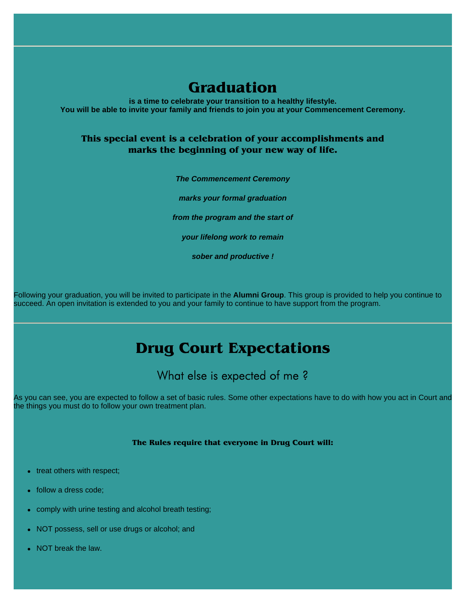### **Graduation**

**is a time to celebrate your transition to a healthy lifestyle. You will be able to invite your family and friends to join you at your Commencement Ceremony.**

### **This special event is a celebration of your accomplishments and marks the beginning of your new way of life.**

*The Commencement Ceremony*

*marks your formal graduation*

*from the program and the start of*

*your lifelong work to remain*

*sober and productive !*

Following your graduation, you will be invited to participate in the **Alumni Group**. This group is provided to help you continue to succeed. An open invitation is extended to you and your family to continue to have support from the program.

## **Drug Court Expectations**

### What else is expected of me?

As you can see, you are expected to follow a set of basic rules. Some other expectations have to do with how you act in Court and the things you must do to follow your own treatment plan.

#### **The Rules require that everyone in Drug Court will:**

- $\bullet$  treat others with respect;
- follow a dress code;
- comply with urine testing and alcohol breath testing;
- NOT possess, sell or use drugs or alcohol; and
- NOT break the law.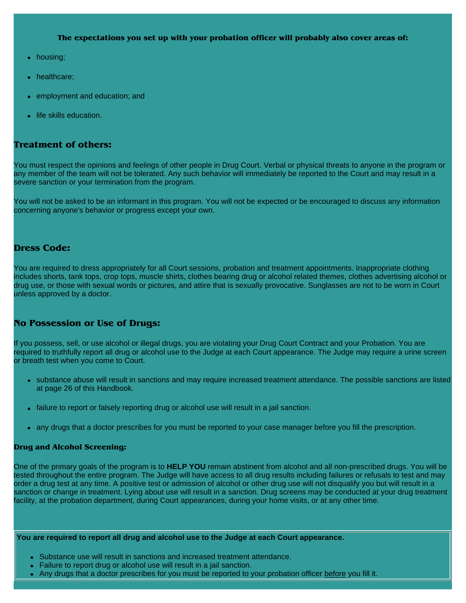**The expectations you set up with your probation officer will probably also cover areas of:**

- housing;
- healthcare:
- employment and education; and
- life skills education.

### **Treatment of others:**

You must respect the opinions and feelings of other people in Drug Court. Verbal or physical threats to anyone in the program or any member of the team will not be tolerated. Any such behavior will immediately be reported to the Court and may result in a severe sanction or your termination from the program.

You will not be asked to be an informant in this program. You will not be expected or be encouraged to discuss any information concerning anyone's behavior or progress except your own.

#### **Dress Code:**

You are required to dress appropriately for all Court sessions, probation and treatment appointments. Inappropriate clothing includes shorts, tank tops, crop tops, muscle shirts, clothes bearing drug or alcohol related themes, clothes advertising alcohol or drug use, or those with sexual words or pictures, and attire that is sexually provocative. Sunglasses are not to be worn in Court unless approved by a doctor.

### **No Possession or Use of Drugs:**

If you possess, sell, or use alcohol or illegal drugs, you are violating your Drug Court Contract and your Probation. You are required to truthfully report all drug or alcohol use to the Judge at each Court appearance. The Judge may require a urine screen or breath test when you come to Court.

- substance abuse will result in sanctions and may require increased treatment attendance. The possible sanctions are listed at page 26 of this Handbook.
- failure to report or falsely reporting drug or alcohol use will result in a jail sanction.
- any drugs that a doctor prescribes for you must be reported to your case manager before you fill the prescription.

#### **Drug and Alcohol Screening:**

One of the primary goals of the program is to **HELP YOU** remain abstinent from alcohol and all non-prescribed drugs. You will be tested throughout the entire program. The Judge will have access to all drug results including failures or refusals to test and may order a drug test at any time. A positive test or admission of alcohol or other drug use will not disqualify you but will result in a sanction or change in treatment. Lying about use will result in a sanction. Drug screens may be conducted at your drug treatment facility, at the probation department, during Court appearances, during your home visits, or at any other time.

#### **You are required to report all drug and alcohol use to the Judge at each Court appearance.**

- Substance use will result in sanctions and increased treatment attendance.
- Failure to report drug or alcohol use will result in a jail sanction.
- Any drugs that a doctor prescribes for you must be reported to your probation officer before you fill it.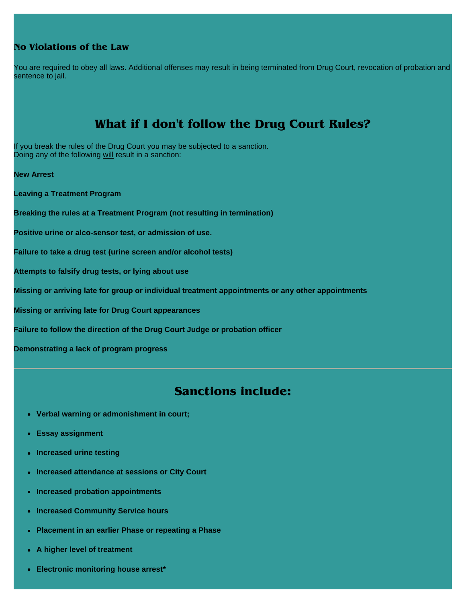### **No Violations of the Law**

You are required to obey all laws. Additional offenses may result in being terminated from Drug Court, revocation of probation and sentence to jail.

### **What if I don't follow the Drug Court Rules?**

If you break the rules of the Drug Court you may be subjected to a sanction. Doing any of the following will result in a sanction:

**New Arrest**

**Leaving a Treatment Program**

**Breaking the rules at a Treatment Program (not resulting in termination)**

**Positive urine or alco-sensor test, or admission of use.**

**Failure to take a drug test (urine screen and/or alcohol tests)**

**Attempts to falsify drug tests, or lying about use**

**Missing or arriving late for group or individual treatment appointments or any other appointments**

**Missing or arriving late for Drug Court appearances**

**Failure to follow the direction of the Drug Court Judge or probation officer**

**Demonstrating a lack of program progress**

### **Sanctions include:**

- <sup>z</sup> **Verbal warning or admonishment in court;**
- **Essay assignment**
- **Increased urine testing**
- **Increased attendance at sessions or City Court**
- **Increased probation appointments**
- **Increased Community Service hours**
- **Placement in an earlier Phase or repeating a Phase**
- **A higher level of treatment**
- **Electronic monitoring house arrest\***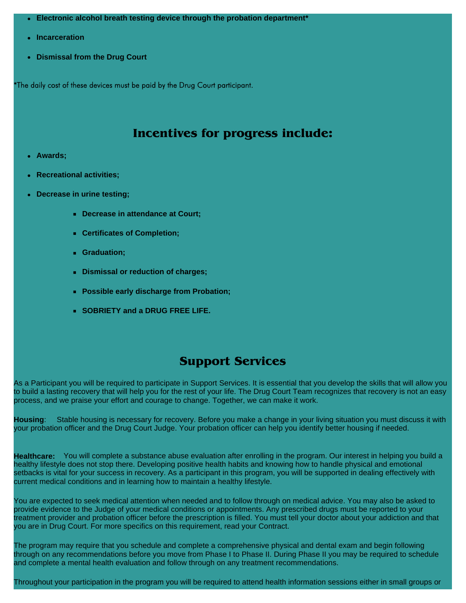- Electronic alcohol breath testing device through the probation department<sup>\*</sup>
- **•** Incarceration
- **Dismissal from the Drug Court**

\*The daily cost of these devices must be paid by the Drug Court participant.

### **Incentives for progress include:**

- <sup>z</sup> **Awards;**
- <sup>z</sup> **Recreational activities;**
- **Decrease in urine testing;** 
	- **Decrease in attendance at Court;**
	- **Certificates of Completion;**
	- **Graduation;**
	- **Dismissal or reduction of charges;**
	- **Possible early discharge from Probation;**
	- **SOBRIETY and a DRUG FREE LIFE.**

### **Support Services**

As a Participant you will be required to participate in Support Services. It is essential that you develop the skills that will allow you to build a lasting recovery that will help you for the rest of your life. The Drug Court Team recognizes that recovery is not an easy process, and we praise your effort and courage to change. Together, we can make it work.

**Housing**: Stable housing is necessary for recovery. Before you make a change in your living situation you must discuss it with your probation officer and the Drug Court Judge. Your probation officer can help you identify better housing if needed.

**Healthcare:** You will complete a substance abuse evaluation after enrolling in the program. Our interest in helping you build a healthy lifestyle does not stop there. Developing positive health habits and knowing how to handle physical and emotional setbacks is vital for your success in recovery. As a participant in this program, you will be supported in dealing effectively with current medical conditions and in learning how to maintain a healthy lifestyle.

You are expected to seek medical attention when needed and to follow through on medical advice. You may also be asked to provide evidence to the Judge of your medical conditions or appointments. Any prescribed drugs must be reported to your treatment provider and probation officer before the prescription is filled. You must tell your doctor about your addiction and that you are in Drug Court. For more specifics on this requirement, read your Contract.

The program may require that you schedule and complete a comprehensive physical and dental exam and begin following through on any recommendations before you move from Phase I to Phase II. During Phase II you may be required to schedule and complete a mental health evaluation and follow through on any treatment recommendations.

Throughout your participation in the program you will be required to attend health information sessions either in small groups or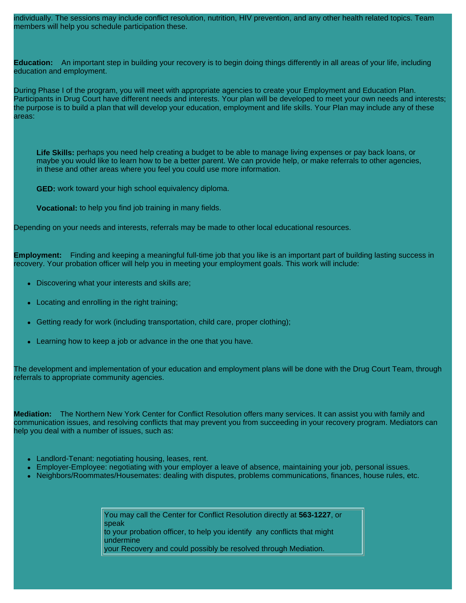individually. The sessions may include conflict resolution, nutrition, HIV prevention, and any other health related topics. Team members will help you schedule participation these.

**Education:** An important step in building your recovery is to begin doing things differently in all areas of your life, including education and employment.

During Phase I of the program, you will meet with appropriate agencies to create your Employment and Education Plan. Participants in Drug Court have different needs and interests. Your plan will be developed to meet your own needs and interests; the purpose is to build a plan that will develop your education, employment and life skills. Your Plan may include any of these areas:

**Life Skills:** perhaps you need help creating a budget to be able to manage living expenses or pay back loans, or maybe you would like to learn how to be a better parent. We can provide help, or make referrals to other agencies, in these and other areas where you feel you could use more information.

**GED:** work toward your high school equivalency diploma.

**Vocational:** to help you find job training in many fields.

Depending on your needs and interests, referrals may be made to other local educational resources.

**Employment:** Finding and keeping a meaningful full-time job that you like is an important part of building lasting success in recovery. Your probation officer will help you in meeting your employment goals. This work will include:

- Discovering what your interests and skills are;
- Locating and enrolling in the right training;
- Getting ready for work (including transportation, child care, proper clothing);
- Learning how to keep a job or advance in the one that you have.

The development and implementation of your education and employment plans will be done with the Drug Court Team, through referrals to appropriate community agencies.

**Mediation:** The Northern New York Center for Conflict Resolution offers many services. It can assist you with family and communication issues, and resolving conflicts that may prevent you from succeeding in your recovery program. Mediators can help you deal with a number of issues, such as:

- Landlord-Tenant: negotiating housing, leases, rent.
- Employer-Employee: negotiating with your employer a leave of absence, maintaining your job, personal issues.
- Neighbors/Roommates/Housemates: dealing with disputes, problems communications, finances, house rules, etc.

You may call the Center for Conflict Resolution directly at **563-1227**, or speak to your probation officer, to help you identify any conflicts that might undermine your Recovery and could possibly be resolved through Mediation.